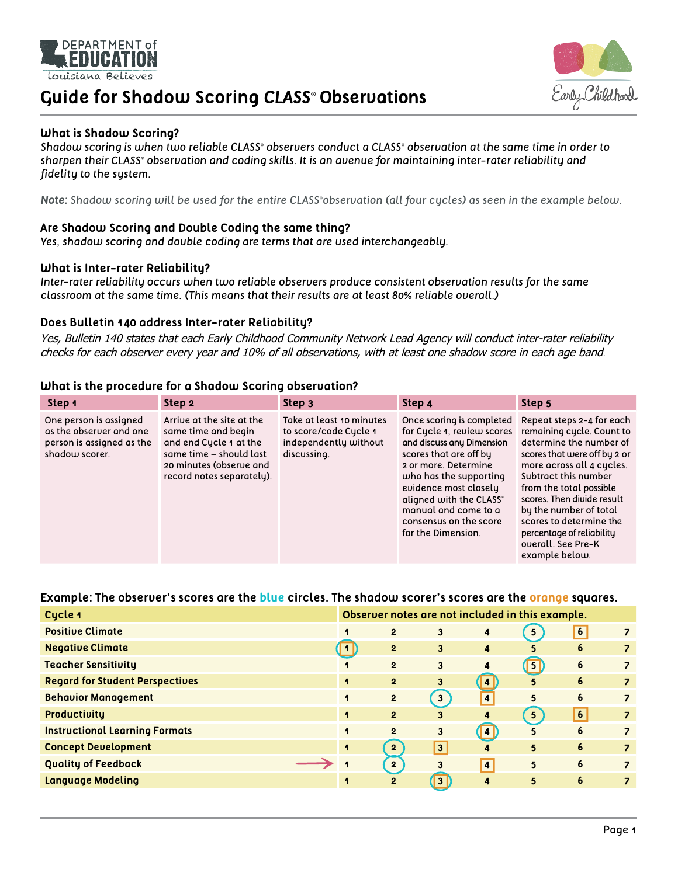

# **Guide for Shadow Scoring** *CLASS®* **Observations**



### **What is Shadow Scoring?**

*Shadow scoring is when two reliable CLASS® observers conduct a CLASS® observation at the same time in order to sharpen their CLASS® observation and coding skills. It is an avenue for maintaining inter-rater reliability and fidelity to the system.* 

*Note: Shadow scoring will be used for the entire CLASS ®observation (all four cycles) as seen in the example below.*

### **Are Shadow Scoring and Double Coding the same thing?**

*Yes, shadow scoring and double coding are terms that are used interchangeably.*

#### **What is Inter-rater Reliability?**

*Inter-rater reliability occurs when two reliable observers produce consistent observation results for the same classroom at the same time. (This means that their results are at least 80% reliable overall.)*

#### **Does Bulletin 140 address Inter-rater Reliability?**

Yes, Bulletin 140 states that each Early Childhood Community Network Lead Agency will conduct inter-rater reliability checks for each observer every year and 10% of all observations, with at least one shadow score in each age band.

#### **What is the procedure for a Shadow Scoring observation?**

| Step 1                                                                                           | Step 2                                                                                                                                                        | Step 3                                                                                    | Step 4                                                                                                                                                                                                                                                                                       | Step 5                                                                                                                                                                                                                                                                                                                                                    |
|--------------------------------------------------------------------------------------------------|---------------------------------------------------------------------------------------------------------------------------------------------------------------|-------------------------------------------------------------------------------------------|----------------------------------------------------------------------------------------------------------------------------------------------------------------------------------------------------------------------------------------------------------------------------------------------|-----------------------------------------------------------------------------------------------------------------------------------------------------------------------------------------------------------------------------------------------------------------------------------------------------------------------------------------------------------|
| One person is assigned<br>as the observer and one<br>person is assigned as the<br>shadow scorer. | Arrive at the site at the<br>same time and begin<br>and end Cycle 1 at the<br>same time - should last<br>20 minutes (observe and<br>record notes separately). | Take at least 10 minutes<br>to score/code Cycle 1<br>independently without<br>discussing. | Once scoring is completed<br>for Cycle 1, review scores<br>and discuss any Dimension<br>scores that are off by<br>2 or more. Determine<br>who has the supporting<br>evidence most closely<br>aligned with the CLASS®<br>manual and come to a<br>consensus on the score<br>for the Dimension. | Repeat steps 2-4 for each<br>remaining cycle. Count to<br>determine the number of<br>scores that were off by 2 or<br>more across all 4 cycles.<br>Subtract this number<br>from the total possible<br>scores. Then divide result<br>by the number of total<br>scores to determine the<br>percentage of reliability<br>overall. See Pre-K<br>example below. |

## **Example: The observer's scores are the blue circles. The shadow scorer's scores are the orange squares.**

| Cycle 1                                | Observer notes are not included in this example. |                |                         |                         |                |                |                          |
|----------------------------------------|--------------------------------------------------|----------------|-------------------------|-------------------------|----------------|----------------|--------------------------|
| <b>Positive Climate</b>                | $\overline{\mathbf{1}}$                          | $\overline{2}$ | 3                       | 4                       | 5 <sub>5</sub> | $\overline{6}$ |                          |
| <b>Negative Climate</b>                | . <b>1</b> L                                     | $\overline{2}$ | 3                       | 4                       | 5              | 6              | $\overline{\phantom{a}}$ |
| <b>Teacher Sensitivity</b>             | $\mathbf{I}$                                     | $\overline{2}$ | 3                       | 4                       | $\boxed{5}$    | 6              | $\overline{\phantom{a}}$ |
| <b>Regard for Student Perspectives</b> | $\blacktriangleleft$                             | $\overline{2}$ | 3                       | $\vert$ 4 $\vert$       | 5              | 6              | $\overline{z}$           |
| <b>Behavior Management</b>             | $\mathbf{I}$                                     | $\overline{2}$ | 3 <sup>1</sup>          | $\overline{\mathbf{4}}$ | 5              | 6              | $\overline{\phantom{a}}$ |
| Productivity                           | $\blacksquare$                                   | $\overline{2}$ | 3                       | 4                       | 5 <sub>5</sub> | 6 <sup>1</sup> |                          |
| <b>Instructional Learning Formats</b>  | $\mathbf{I}$                                     | $\overline{2}$ | 3                       | $\vert$ 4               | 5              | 6              | $\overline{\phantom{a}}$ |
| <b>Concept Development</b>             | $\mathbf{I}$                                     | $\overline{2}$ | $\overline{\mathbf{3}}$ | 4                       | 5              | 6              | $\overline{z}$           |
| <b>Quality of Feedback</b>             |                                                  | $\mathbf{2}$   | 3                       | $\overline{4}$          | 5              | 6              |                          |
| <b>Language Modeling</b>               | $\mathbf{I}$                                     | $\overline{2}$ | 3                       | 4                       | 5              | 6              |                          |